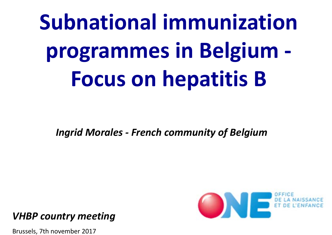**Subnational immunization programmes in Belgium ‐ Focus on hepatitis B**

*Ingrid Morales ‐ French community of Belgium*



*VHBP country meeting*

Brussels, 7th november 2017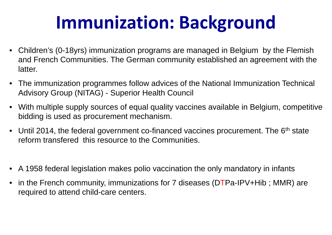## **Immunization: Background**

- Children's (0-18yrs) immunization programs are managed in Belgium by the Flemish and French Communities. The German community established an agreement with the latter.
- The immunization programmes follow advices of the National Immunization Technical Advisory Group (NITAG) - Superior Health Council
- With multiple supply sources of equal quality vaccines available in Belgium, competitive bidding is used as procurement mechanism.
- Until 2014, the federal government co-financed vaccines procurement. The 6<sup>th</sup> state reform transfered this resource to the Communities.
- •A 1958 federal legislation makes polio vaccination the only mandatory in infants
- in the French community, immunizations for 7 diseases (DTPa-IPV+Hib; MMR) are required to attend child-care centers.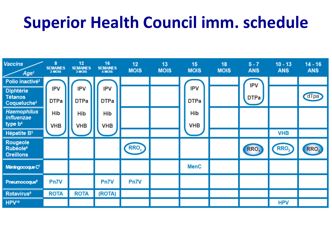### **Superior Health Council imm. schedule**

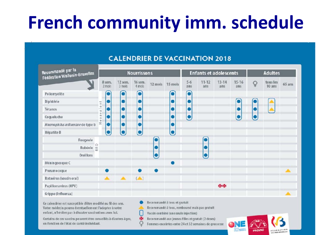## **French community imm. schedule**

#### Recommandé par la Recommande par la<br>Fédération Wallonie-Bruxelles **Nourrissons Enfants et adolescents Adultes** 12 sem. 16 sem.  $5 - 6$  $11 - 12$  $13 - 14$  $15 - 16$ tous les 8 sem. Q 12 mois 15 mois  $65$  ans 2 mois  $3$  mols 4 mois  $ans$ ans 10 ans ans ans С o Poliomyélite  $\bullet$ Diphtérie  $\bullet$  $\bullet$ О  $\frac{1}{2}$  $a$  y  $a$  |  $i$ Tétanos  $\bullet$ ۰ ō Coqueluche ٠ О Haemophilus influenzae de type b ۰  $\bullet$ r Hépatite B Rougeole  $\circ$ Rubéole a Oreillons Méningocoque C Pneumocogue Rotavirus (vaccin oral)  $($  $\overline{\phantom{a}}$ Papillomavirus (HPV) (No No Grippe (Influenza) Recommandé à tous et gratuit

#### **CALENDRIER DE VACCINATION 2018**

Ce calendrier est susceptible d'être modifié au fil des ans. Votre médecin pourra éventuellement l'adapter à votre enfant, n'hésitez pas à discuter vaccinations avec lui.

Certains de ces vaccins peuvent être conseillés à d'autres âges, en fonction de l'état de santé individuel.

Recommandé à tous, remboursé mais pas gratuit

Vaccin combiné (une seule injection)

巫 Recommandé aux jeunes filles et gratuit (2 doses)

Q Femmes enceintes entre 24 et 32 semaines de grossesse

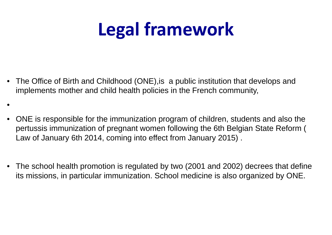## **Legal framework**

 $\bullet$  The Office of Birth and Childhood (ONE),is a public institution that develops and implements mother and child health policies in the French community,

•

- • ONE is responsible for the immunization program of children, students and also the pertussis immunization of pregnant women following the 6th Belgian State Reform ( Law of January 6th 2014, coming into effect from January 2015) .
- $\bullet$  The school health promotion is regulated by two (2001 and 2002) decrees that define its missions, in particular immunization. School medicine is also organized by ONE.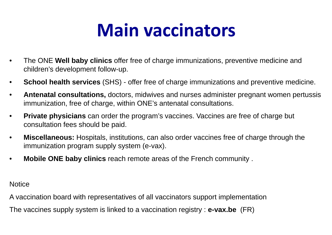### **Main vaccinators**

- $\bullet$  The ONE **Well baby clinics** offer free of charge immunizations, preventive medicine and children's development follow-up.
- •**School health services** (SHS) - offer free of charge immunizations and preventive medicine.
- $\bullet$  **Antenatal consultations,** doctors, midwives and nurses administer pregnant women pertussis immunization, free of charge, within ONE's antenatal consultations.
- $\bullet$  **Private physicians** can order the program's vaccines. Vaccines are free of charge but consultation fees should be paid.
- $\bullet$  **Miscellaneous:** Hospitals, institutions, can also order vaccines free of charge through the immunization program supply system (e-vax).
- •**Mobile ONE baby clinics** reach remote areas of the French community .

**Notice** 

A vaccination board with representatives of all vaccinators support implementation

The vaccines supply system is linked to a vaccination registry : **e-vax.be** (FR)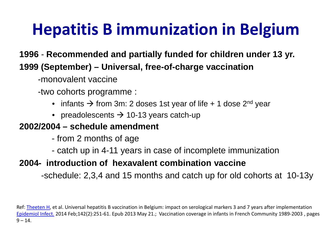### **Hepatitis B immunization in Belgium**

**1996** - **Recommended and partially funded for children under 13 yr. 1999 (September) – Universal, free-of-charge vaccination** 

-monovalent vaccine

-two cohorts programme :

- infants  $\rightarrow$  from 3m: 2 doses 1st year of life + 1 dose 2<sup>nd</sup> year
- $\bullet \;$  preadolescents  $\rightarrow$  10-13 years catch-up

#### **2002/2004 – schedule amendment**

- from 2 months of age
- catch up in 4-11 years in case of incomplete immunization

#### **2004- introduction of hexavalent combination vaccine**

-schedule: 2,3,4 and 15 months and catch up for old cohorts at 10-13y

Ref: Theeten H, et al. Universal hepatitis B vaccination in Belgium: impact on serological markers 3 and 7 years after implementation Epidemiol Infect. 2014 Feb;142(2):251‐61. Epub 2013 May 21.; Vaccination coverage in infants in French Community 1989‐2003 , pages  $9 - 14.$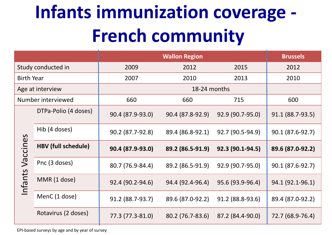### **Infants immunization coverage ‐ French community**

|                     |                            |                  | <b>Brussels</b>  |                  |                  |
|---------------------|----------------------------|------------------|------------------|------------------|------------------|
| Study conducted in  |                            | 2009             | 2012             | 2015             | 2012             |
| <b>Birth Year</b>   |                            | 2007             | 2010             | 2013             | 2010             |
| Age at interview    |                            |                  |                  |                  |                  |
| Number interviewed  |                            | 660              | 660              | 715              | 600              |
|                     | DTPa-Polio (4 doses)       | 90.4 (87.9-93.0) | 90.4 (87.8-92.9) | 92.9 (90.7-95.0) | 91.1 (88.7-93.5) |
|                     | Hib (4 doses)              | 90.2 (87.7-92.8) | 89.4 (86.8-92.1) | 92.7 (90.5-94.9) | 90.1 (87.6-92.7) |
| Vaccines<br>Infants | <b>HBV (full schedule)</b> | 90.4 (87.9-93.0) | 89.2 (86.5-91.9) | 92.3 (90.1-94.5) | 89.6 (87.0-92.2) |
|                     | Pnc (3 doses)              | 80.7 (76.9-84.4) | 89.2 (86.5-91.9) | 92.9 (90.7-95.0) | 90.1 (87.6-92.7) |
|                     | MMR (1 dose)               | 92.4 (90.2-94.6) | 94.4 (92.4-96.4) | 95.6 (93.9-96.4) | 94.1 (92.1-96.1) |
|                     | MenC (1 dose)              | 91.2 (88.7-93.7) | 89.6 (87.0-92.2) | 91.2 (88.8-93.6) | 89.4 (87.0-92.2) |
|                     | Rotavirus (2 doses)        | 77.3 (77.3-81.0) | 80.2 (76.7-83.6) | 87.2 (84.4-90.0) | 72.7 (68.9-76.4) |

EPI‐based surveys by age and by year of survey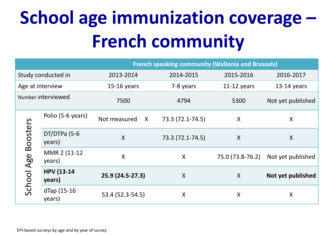# **School age immunization coverage – French community**

|                    |                             | <b>French speaking community (Wallonia and Brussels)</b> |                  |                  |                   |
|--------------------|-----------------------------|----------------------------------------------------------|------------------|------------------|-------------------|
| Study conducted in |                             | 2013-2014                                                | 2014-2015        | 2015-2016        | 2016-2017         |
| Age at interview   |                             | $15-16$ years                                            | 7-8 years        | $11-12$ years    | $13-14$ years     |
| Number interviewed |                             | 7500                                                     | 4794             | 5300             | Not yet published |
|                    | Polio (5-6 years)           | Not measured<br>$\mathsf{X}$                             | 73.3 (72.1-74.5) | $\boldsymbol{X}$ | X                 |
| <b>Boosters</b>    | DT/DTPa (5-6<br>years)      | $\boldsymbol{\mathsf{X}}$                                | 73.3 (72.1-74.5) | X                | X                 |
|                    | MMR 2 (11-12)<br>years)     | $\boldsymbol{\mathsf{X}}$                                | $\sf X$          | 75.0 (73.8-76.2) | Not yet published |
| School Age         | <b>HPV (13-14</b><br>years) | 25.9 (24.5-27.3)                                         | $\sf X$          | X                | Not yet published |
|                    | dTap (15-16<br>years)       | 53.4 (52.3-54.5)                                         | X                | X                | X                 |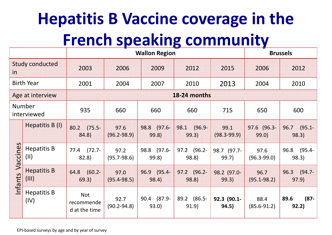## **Hepatitis B Vaccine coverage in the French speaking community**

|                                |                            | <b>Wallon Region</b>                      |                         |                      |                            | <b>Brussels</b>         |                         |                            |
|--------------------------------|----------------------------|-------------------------------------------|-------------------------|----------------------|----------------------------|-------------------------|-------------------------|----------------------------|
| <b>Study conducted</b><br>in   |                            | 2003                                      | 2006                    | 2009                 | 2012                       | 2015                    | 2006                    | 2012                       |
| <b>Birth Year</b>              |                            | 2001                                      | 2004                    | 2007                 | 2010                       | 2013                    | 2004                    | 2010                       |
| Age at interview               |                            | 18-24 months                              |                         |                      |                            |                         |                         |                            |
| <b>Number</b><br>interviewed   |                            | 935                                       | 660                     | 660                  | 660                        | 715                     | 650                     | 600                        |
| $\Omega$<br>Vaccine<br>Infants | Hepatitis B (I)            | $(75.5 -$<br>80.2<br>84.8)                | 97.6<br>$(96.2 - 98.9)$ | 98.8 (97.6-<br>99.8) | $(96.9 -$<br>98.1<br>99.3) | 99.1<br>$(98.3 - 99.9)$ | 97.6 (96.3-<br>99.0)    | $(95.1 -$<br>96.7<br>98.3) |
|                                | <b>Hepatitis B</b><br>(11) | $(72.7 -$<br>77.4<br>82.8)                | 97.2<br>$(95.7 - 98.6)$ | 98.8 (97.6-<br>99.8) | 97.2 (96.2-<br>98.8)       | 98.7 (97.7-<br>99.7)    | 97.6<br>$(96.3 - 99.0)$ | 96.8<br>$(95.4 -$<br>98.3) |
|                                | <b>Hepatitis B</b><br>(11) | $(60.2 -$<br>64.8<br>69.3)                | 97.0<br>$(95.4 - 98.5)$ | 96.9 (95.4-<br>98.4) | 97.2 (96.2-<br>98.8)       | 98.2 (97.0-<br>99.3)    | 96.7<br>$(95.1 - 98.2)$ | $(94.7 -$<br>96.3<br>97.9) |
|                                | <b>Hepatitis B</b><br>(IV) | <b>Not</b><br>recommende<br>d at the time | 92.7<br>$(90.2 - 94.8)$ | 90.4 (87.9-<br>93.0) | 89.2 (86.5-<br>91.9)       | 92.3 (90.1-<br>94.5)    | 88.4<br>$(85.6 - 91.2)$ | $(87 -$<br>89.6<br>92.2)   |

EPI‐based surveys by age and by year of survey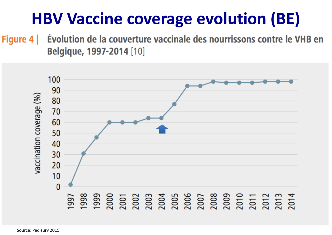### **HBV Vaccine coverage evolution (BE)**

Figure 4 | Évolution de la couverture vaccinale des nourrissons contre le VHB en Belgique, 1997-2014 [10]

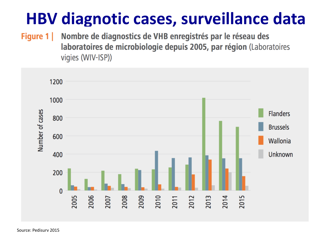### **HBV diagnotic cases, surveillance data**

Nombre de diagnostics de VHB enregistrés par le réseau des Figure 1 laboratoires de microbiologie depuis 2005, par région (Laboratoires vigies (WIV-ISP))

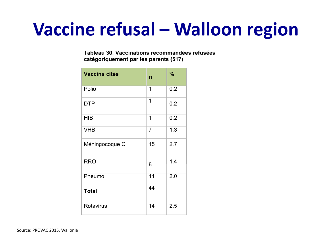### **Vaccine refusal – Walloon region**

Tableau 30. Vaccinations recommandées refusées catégoriquement par les parents (517)

| <b>Vaccins cités</b> | $\mathsf{n}$ | %   |
|----------------------|--------------|-----|
| Polio                | 1            | 0.2 |
| <b>DTP</b>           | 1            | 0.2 |
| <b>HIB</b>           | 1            | 0.2 |
| <b>VHB</b>           | 7            | 1.3 |
| Méningocoque C       | 15           | 2.7 |
| <b>RRO</b>           | 8            | 1.4 |
| Pneumo               | 11           | 2.0 |
| <b>Total</b>         | 44           |     |
| Rotavirus            | 14           | 2.5 |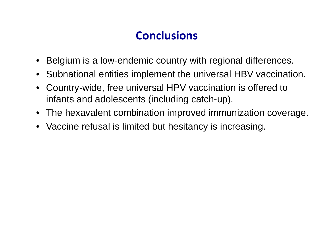### **Conclusions**

- Belgium is a low-endemic country with regional differences.
- Subnational entities implement the universal HBV vaccination.
- $\bullet$  Country-wide, free universal HPV vaccination is offered to infants and adolescents (including catch-up).
- The hexavalent combination improved immunization coverage.
- Vaccine refusal is limited but hesitancy is increasing.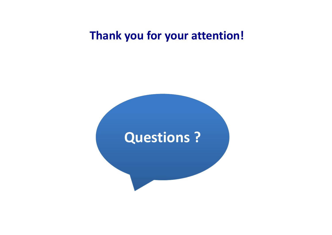### **Thank you for your attention!**